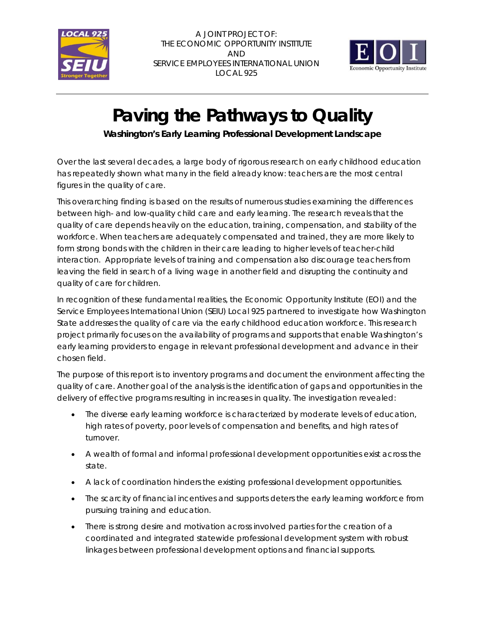

A JOINT PROJECT OF: THE ECONOMIC OPPORTUNITY INSTITUTE AND SERVICE EMPLOYEES INTERNATIONAL UNION LOCAL 925



## **Paving the Pathways to Quality**

**Washington's Early Learning Professional Development Landscape**

Over the last several decades, a large body of rigorous research on early childhood education has repeatedly shown what many in the field already know: teachers are the most central figures in the quality of care.

This overarching finding is based on the results of numerous studies examining the differences between high- and low-quality child care and early learning. The research reveals that the quality of care depends heavily on the education, training, compensation, and stability of the workforce. When teachers are adequately compensated and trained, they are more likely to form strong bonds with the children in their care leading to higher levels of teacher-child interaction. Appropriate levels of training and compensation also discourage teachers from leaving the field in search of a living wage in another field and disrupting the continuity and quality of care for children.

In recognition of these fundamental realities, the Economic Opportunity Institute (EOI) and the Service Employees International Union (SEIU) Local 925 partnered to investigate how Washington State addresses the quality of care via the early childhood education workforce. This research project primarily focuses on the availability of programs and supports that enable Washington's early learning providers to engage in relevant professional development and advance in their chosen field.

The purpose of this report is to inventory programs and document the environment affecting the quality of care. Another goal of the analysis is the identification of gaps and opportunities in the delivery of effective programs resulting in increases in quality. The investigation revealed:

- The diverse early learning workforce is characterized by moderate levels of education, high rates of poverty, poor levels of compensation and benefits, and high rates of turnover.
- A wealth of formal and informal professional development opportunities exist across the state.
- A lack of coordination hinders the existing professional development opportunities.
- The scarcity of financial incentives and supports deters the early learning workforce from pursuing training and education.
- There is strong desire and motivation across involved parties for the creation of a coordinated and integrated statewide professional development system with robust linkages between professional development options and financial supports.